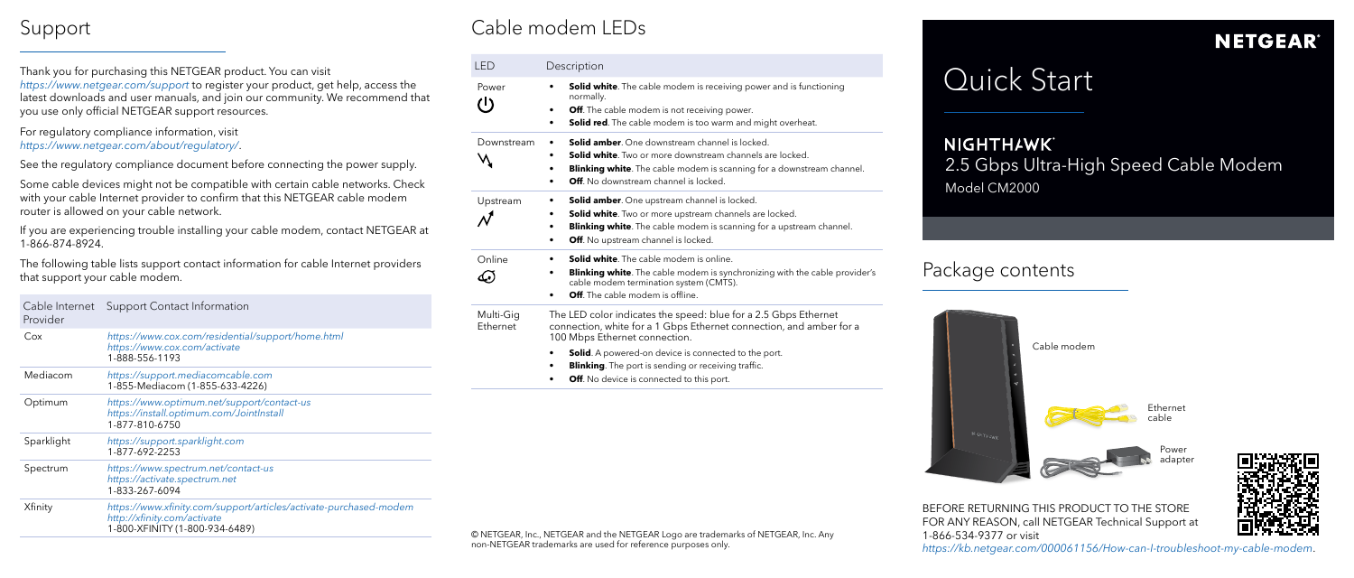# **NIGHTH**AWK` 2.5 Gbps Ultra-High Speed Cable Modem

## ckage contents



Model CM2000



BEFORE RETURNING THIS PRODUCT TO THE STORE FOR ANY REASON, call NETGEAR Technical Support at 1-866-534-9377 or visit *<https://kb.netgear.com/000061156/How-can-I-troubleshoot-my-cable-modem>*.

## Cable modem LEDs

| LED                    | Description                                                                                                                                                                                                                                                          |  |
|------------------------|----------------------------------------------------------------------------------------------------------------------------------------------------------------------------------------------------------------------------------------------------------------------|--|
| Power<br>$\mathcal{L}$ | <b>Solid white</b> . The cable modem is receiving power and is functioning<br>normally.<br>Off. The cable modem is not receiving power.<br>$\bullet$<br><b>Solid red.</b> The cable modem is too warm and might overheat.<br>٠                                       |  |
| Downstream             | <b>Solid amber.</b> One downstream channel is locked.<br><b>Solid white</b> . Two or more downstream channels are locked.<br><b>Blinking white.</b> The cable modem is scanning for a downstream channel.<br>٠<br><b>Off</b> . No downstream channel is locked.<br>٠ |  |
| Upstream               | <b>Solid amber.</b> One upstream channel is locked.<br>٠<br><b>Solid white.</b> Two or more upstream channels are locked.<br><b>Blinking white.</b> The cable modem is scanning for a upstream channel.<br>٠<br>Off. No upstream channel is locked.<br>٠             |  |
| Online                 | <b>Solid white.</b> The cable modem is online.<br><b>Blinking white.</b> The cable modem is synchronizing with the cable provider's<br>cable modem termination system (CMTS).<br>Off. The cable modem is offline.                                                    |  |
| Multi-Gig<br>Ethernet  | The LED color indicates the speed: blue for a 2.5 Gbps Ethernet<br>connection, white for a 1 Gbps Ethernet connection, and amber for a<br>100 Mbps Ethernet connection.                                                                                              |  |
|                        | <b>Solid.</b> A powered-on device is connected to the port.<br><b>Blinking</b> . The port is sending or receiving traffic.<br>٠<br>Off. No device is connected to this port.<br>٠                                                                                    |  |

© NETGEAR, Inc., NETGEAR and the NETGEAR Logo are trademarks of NETGEAR, Inc. Any non-NETGEAR trademarks are used for reference purposes only.

## **NETGEAR®**

# Quick Start

Thank you for purchasing this NETGEAR product. You can visit *https://[www.netgear.com/support](https://www.netgear.com/support/)* to register your product, get help, access the latest downloads and user manuals, and join our community. We recommend that you use only official NETGEAR support resources.

### For regulatory compliance information, visit *[https://www.netgear.com/about/regulatory](https://www.netgear.com/about/regulatory/)/*.

See the regulatory compliance document before connecting the power supply.

Some cable devices might not be compatible with certain cable networks. Check with your cable Internet provider to confirm that this NETGEAR cable modem router is allowed on your cable network.

If you are experiencing trouble installing your cable modem, contact NETGEAR at 1-866-874-8924.

## Support

The following table lists support contact information for cable Internet providers that support your cable modem.

| Cable Internet<br>Provider | <b>Support Contact Information</b>                                                                                                 |
|----------------------------|------------------------------------------------------------------------------------------------------------------------------------|
| Cox                        | https://www.cox.com/residential/support/home.html<br>https://www.cox.com/activate<br>1-888-556-1193                                |
| Mediacom                   | https://support.mediacomcable.com<br>1-855-Mediacom (1-855-633-4226)                                                               |
| Optimum                    | https://www.optimum.net/support/contact-us<br>https://install.optimum.com/JointInstall<br>1-877-810-6750                           |
| Sparklight                 | https://support.sparklight.com<br>1-877-692-2253                                                                                   |
| Spectrum                   | https://www.spectrum.net/contact-us<br>https://activate.spectrum.net<br>1-833-267-6094                                             |
| Xfinity                    | https://www.xfinity.com/support/articles/activate-purchased-modem<br>http://xfinity.com/activate<br>1-800-XFINITY (1-800-934-6489) |